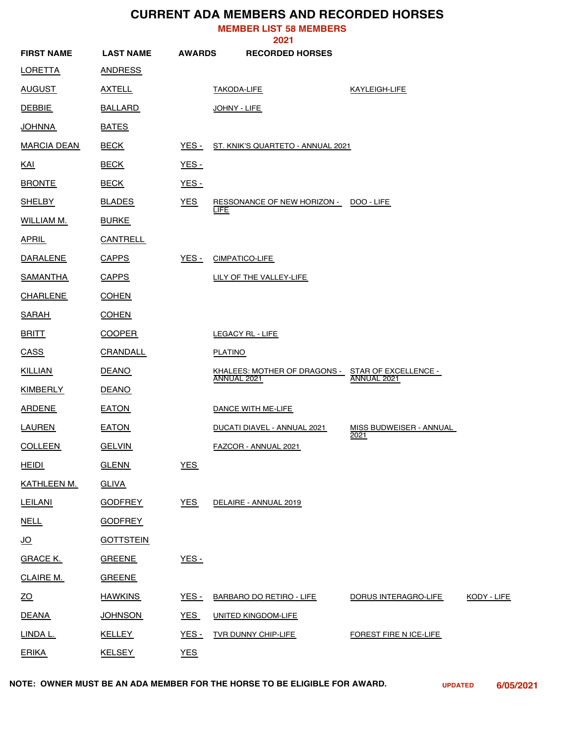## **CURRENT ADA MEMBERS AND RECORDED HORSES**

**MEMBER LIST 58 MEMBERS**

|                    |                  |               | 2021                                        |                                         |             |
|--------------------|------------------|---------------|---------------------------------------------|-----------------------------------------|-------------|
| <b>FIRST NAME</b>  | <b>LAST NAME</b> | <b>AWARDS</b> | <b>RECORDED HORSES</b>                      |                                         |             |
| <b>LORETTA</b>     | <b>ANDRESS</b>   |               |                                             |                                         |             |
| <u>AUGUST</u>      | <b>AXTELL</b>    |               | <b>TAKODA-LIFE</b>                          | KAYLEIGH-LIFE                           |             |
| <b>DEBBIE</b>      | <b>BALLARD</b>   |               | JOHNY - LIFE                                |                                         |             |
| <u>JOHNNA</u>      | <b>BATES</b>     |               |                                             |                                         |             |
| <b>MARCIA DEAN</b> | <b>BECK</b>      | YES -         | ST. KNIK'S QUARTETO - ANNUAL 2021           |                                         |             |
| <u>KAI</u>         | <b>BECK</b>      | <b>YES -</b>  |                                             |                                         |             |
| <b>BRONTE</b>      | <b>BECK</b>      | <u>YES -</u>  |                                             |                                         |             |
| <b>SHELBY</b>      | <b>BLADES</b>    | <b>YES</b>    | RESSONANCE OF NEW HORIZON -<br>LIFE         | DOO - LIFE                              |             |
| <b>WILLIAM M.</b>  | <b>BURKE</b>     |               |                                             |                                         |             |
| <b>APRIL</b>       | <b>CANTRELL</b>  |               |                                             |                                         |             |
| <b>DARALENE</b>    | <b>CAPPS</b>     | <u>YES -</u>  | <b>CIMPATICO-LIFE</b>                       |                                         |             |
| <u>SAMANTHA</u>    | <b>CAPPS</b>     |               | LILY OF THE VALLEY-LIFE                     |                                         |             |
| <b>CHARLENE</b>    | <b>COHEN</b>     |               |                                             |                                         |             |
| <b>SARAH</b>       | <b>COHEN</b>     |               |                                             |                                         |             |
| <b>BRITT</b>       | <b>COOPER</b>    |               | LEGACY RL - LIFE                            |                                         |             |
| <b>CASS</b>        | <b>CRANDALL</b>  |               | <b>PLATINO</b>                              |                                         |             |
| <u>KILLIAN</u>     | <b>DEANO</b>     |               | KHALEES: MOTHER OF DRAGONS -<br>ANNUAL 2021 | STAR OF EXCELLENCE -<br>ANNUAL 2021     |             |
| <b>KIMBERLY</b>    | <b>DEANO</b>     |               |                                             |                                         |             |
| <b>ARDENE</b>      | <b>EATON</b>     |               | DANCE WITH ME-LIFE                          |                                         |             |
| LAUREN             | <b>EATON</b>     |               | DUCATI DIAVEL - ANNUAL 2021                 | MISS BUDWEISER - ANNUAL<br><u> 2021</u> |             |
| <b>COLLEEN</b>     | <b>GELVIN</b>    |               | <b>FAZCOR - ANNUAL 2021</b>                 |                                         |             |
| <b>HEIDI</b>       | <b>GLENN</b>     | <b>YES</b>    |                                             |                                         |             |
| KATHLEEN M.        | <b>GLIVA</b>     |               |                                             |                                         |             |
| <b>LEILANI</b>     | <b>GODFREY</b>   | <b>YES</b>    | DELAIRE - ANNUAL 2019                       |                                         |             |
| <b>NELL</b>        | <b>GODFREY</b>   |               |                                             |                                         |             |
| <u>JO</u>          | <b>GOTTSTEIN</b> |               |                                             |                                         |             |
| <b>GRACE K.</b>    | <b>GREENE</b>    | $YES -$       |                                             |                                         |             |
| CLAIRE M.          | <b>GREENE</b>    |               |                                             |                                         |             |
| 20                 | <b>HAWKINS</b>   | <b>YES -</b>  | <b>BARBARO DO RETIRO - LIFE</b>             | DORUS INTERAGRO-LIFE                    | KODY - LIFE |
| <b>DEANA</b>       | <b>JOHNSON</b>   | <b>YES</b>    | <b>UNITED KINGDOM-LIFE</b>                  |                                         |             |
| LINDA L.           | <b>KELLEY</b>    | <b>YES -</b>  | <b>TVR DUNNY CHIP-LIFE</b>                  | FOREST FIRE N ICE-LIFE                  |             |
| <b>ERIKA</b>       | <b>KELSEY</b>    | <b>YES</b>    |                                             |                                         |             |